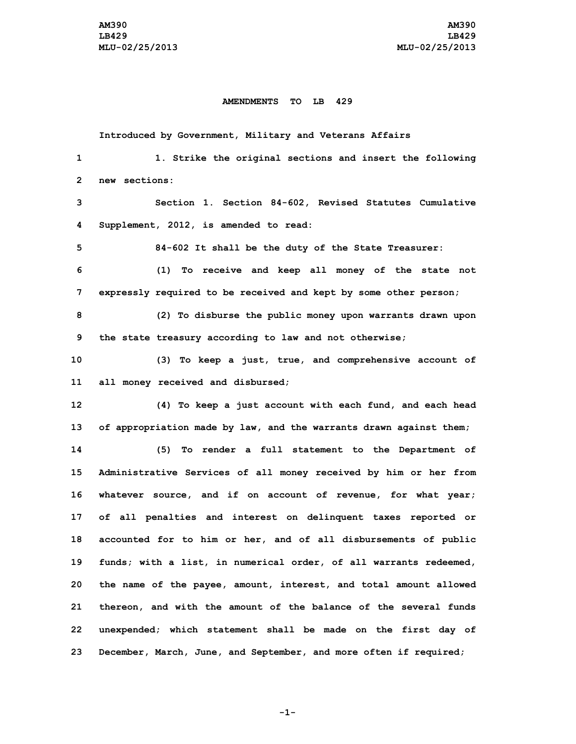## **AMENDMENTS TO LB 429**

|    | Introduced by Government, Military and Veterans Affairs            |
|----|--------------------------------------------------------------------|
| 1  | 1. Strike the original sections and insert the following           |
| 2  | new sections:                                                      |
| 3  | Section 1. Section 84-602, Revised Statutes Cumulative             |
| 4  | Supplement, 2012, is amended to read:                              |
| 5  | 84-602 It shall be the duty of the State Treasurer:                |
| 6  | (1) To receive and keep all money of the state not                 |
| 7  | expressly required to be received and kept by some other person;   |
| 8  | (2) To disburse the public money upon warrants drawn upon          |
| 9  | the state treasury according to law and not otherwise;             |
| 10 | (3) To keep a just, true, and comprehensive account of             |
| 11 | all money received and disbursed;                                  |
| 12 | (4) To keep a just account with each fund, and each head           |
| 13 | of appropriation made by law, and the warrants drawn against them; |
| 14 | To render a full statement to the Department of<br>(5)             |
| 15 | Administrative Services of all money received by him or her from   |
| 16 | whatever source, and if on account of revenue, for what year;      |
| 17 | of all penalties and interest on delinquent taxes reported or      |
| 18 | accounted for to him or her, and of all disbursements of public    |
| 19 | funds; with a list, in numerical order, of all warrants redeemed,  |
| 20 | the name of the payee, amount, interest, and total amount allowed  |
| 21 | thereon, and with the amount of the balance of the several funds   |
| 22 | unexpended; which statement shall be made on the first day of      |
| 23 | December, March, June, and September, and more often if required;  |

**-1-**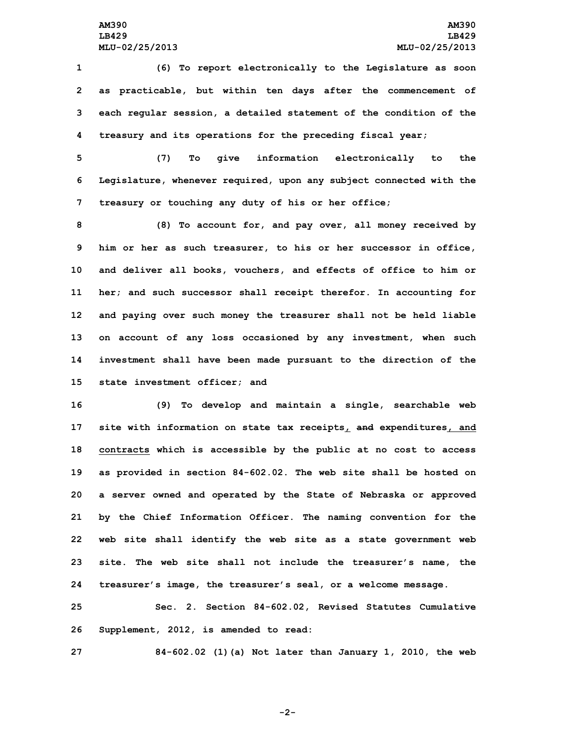**(6) To report electronically to the Legislature as soon as practicable, but within ten days after the commencement of each regular session, <sup>a</sup> detailed statement of the condition of the treasury and its operations for the preceding fiscal year;**

**5 (7) To give information electronically to the 6 Legislature, whenever required, upon any subject connected with the 7 treasury or touching any duty of his or her office;**

 **(8) To account for, and pay over, all money received by him or her as such treasurer, to his or her successor in office, and deliver all books, vouchers, and effects of office to him or her; and such successor shall receipt therefor. In accounting for and paying over such money the treasurer shall not be held liable on account of any loss occasioned by any investment, when such investment shall have been made pursuant to the direction of the state investment officer; and**

 **(9) To develop and maintain <sup>a</sup> single, searchable web site with information on state tax receipts, and expenditures, and contracts which is accessible by the public at no cost to access as provided in section 84-602.02. The web site shall be hosted on <sup>a</sup> server owned and operated by the State of Nebraska or approved by the Chief Information Officer. The naming convention for the web site shall identify the web site as <sup>a</sup> state government web site. The web site shall not include the treasurer's name, the treasurer's image, the treasurer's seal, or <sup>a</sup> welcome message.**

**25 Sec. 2. Section 84-602.02, Revised Statutes Cumulative 26 Supplement, 2012, is amended to read:**

**27 84-602.02 (1)(a) Not later than January 1, 2010, the web**

**-2-**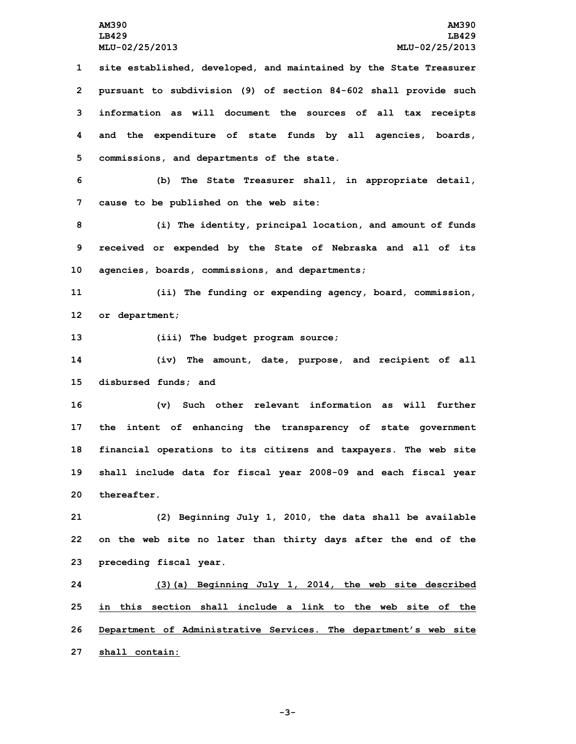**site established, developed, and maintained by the State Treasurer pursuant to subdivision (9) of section 84-602 shall provide such information as will document the sources of all tax receipts and the expenditure of state funds by all agencies, boards, commissions, and departments of the state.**

**6 (b) The State Treasurer shall, in appropriate detail, 7 cause to be published on the web site:**

**8 (i) The identity, principal location, and amount of funds 9 received or expended by the State of Nebraska and all of its 10 agencies, boards, commissions, and departments;**

**11 (ii) The funding or expending agency, board, commission, 12 or department;**

**13 (iii) The budget program source;**

**14 (iv) The amount, date, purpose, and recipient of all 15 disbursed funds; and**

 **(v) Such other relevant information as will further the intent of enhancing the transparency of state government financial operations to its citizens and taxpayers. The web site shall include data for fiscal year 2008-09 and each fiscal year thereafter.**

**21 (2) Beginning July 1, 2010, the data shall be available 22 on the web site no later than thirty days after the end of the 23 preceding fiscal year.**

 **(3)(a) Beginning July 1, 2014, the web site described in this section shall include a link to the web site of the Department of Administrative Services. The department's web site shall contain:**

**-3-**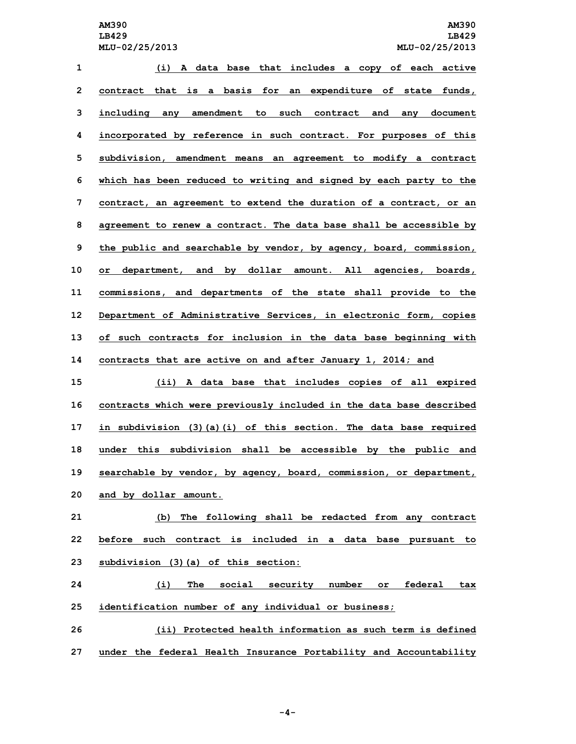**(i) <sup>A</sup> data base that includes <sup>a</sup> copy of each active contract that is <sup>a</sup> basis for an expenditure of state funds, including any amendment to such contract and any document incorporated by reference in such contract. For purposes of this subdivision, amendment means an agreement to modify <sup>a</sup> contract which has been reduced to writing and signed by each party to the contract, an agreement to extend the duration of <sup>a</sup> contract, or an agreement to renew <sup>a</sup> contract. The data base shall be accessible by the public and searchable by vendor, by agency, board, commission, or department, and by dollar amount. All agencies, boards, commissions, and departments of the state shall provide to the Department of Administrative Services, in electronic form, copies of such contracts for inclusion in the data base beginning with contracts that are active on and after January 1, 2014; and (ii) <sup>A</sup> data base that includes copies of all expired contracts which were previously included in the data base described in subdivision (3)(a)(i) of this section. The data base required under this subdivision shall be accessible by the public and searchable by vendor, by agency, board, commission, or department, and by dollar amount. (b) The following shall be redacted from any contract before such contract is included in <sup>a</sup> data base pursuant to subdivision (3)(a) of this section: (i) The social security number or federal tax identification number of any individual or business; (ii) Protected health information as such term is defined**

**27 under the federal Health Insurance Portability and Accountability**

**-4-**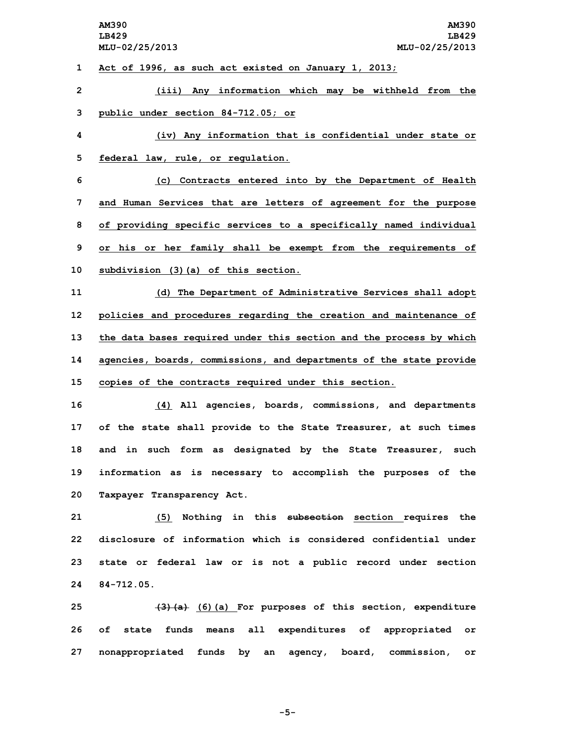**Act of 1996, as such act existed on January 1, 2013; (iii) Any information which may be withheld from the public under section 84-712.05; or (iv) Any information that is confidential under state or federal law, rule, or regulation. (c) Contracts entered into by the Department of Health and Human Services that are letters of agreement for the purpose of providing specific services to <sup>a</sup> specifically named individual or his or her family shall be exempt from the requirements of subdivision (3)(a) of this section. (d) The Department of Administrative Services shall adopt policies and procedures regarding the creation and maintenance of the data bases required under this section and the process by which agencies, boards, commissions, and departments of the state provide copies of the contracts required under this section. (4) All agencies, boards, commissions, and departments of the state shall provide to the State Treasurer, at such times and in such form as designated by the State Treasurer, such information as is necessary to accomplish the purposes of the Taxpayer Transparency Act. (5) Nothing in this subsection section requires the disclosure of information which is considered confidential under state or federal law or is not <sup>a</sup> public record under section**

**24 84-712.05.**

**25 (3)(a) (6)(a) For purposes of this section, expenditure 26 of state funds means all expenditures of appropriated or 27 nonappropriated funds by an agency, board, commission, or**

**-5-**